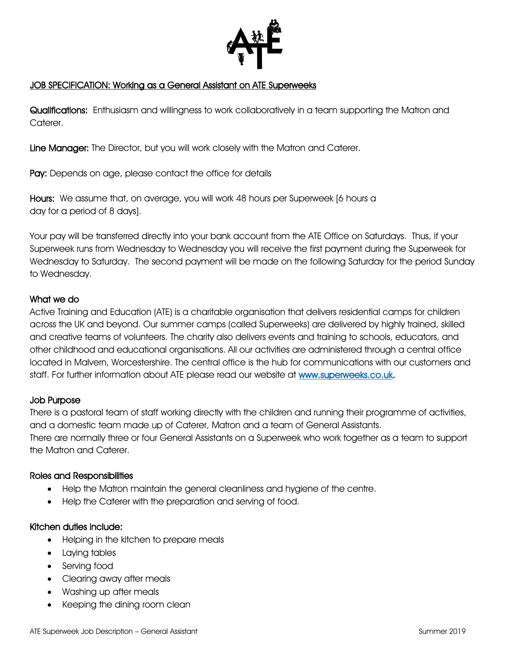

#### JOB SPECIFICATION: Working as a General Assistant on ATE Superweeks

Qualifications: Enthusiasm and willingness to work collaboratively in a team supporting the Matron and Caterer.

Line Manager: The Director, but you will work closely with the Matron and Caterer.

Pay: Depends on age, please contact the office for details

Hours: We assume that, on average, you will work 48 hours per Superweek [6 hours a day for a period of 8 days].

Your pay will be transferred directly into your bank account from the ATE Office on Saturdays. Thus, if your Superweek runs from Wednesday to Wednesday you will receive the first payment during the Superweek for Wednesday to Saturday. The second payment will be made on the following Saturday for the period Sunday to Wednesday.

#### What we do

Active Training and Education (ATE) is a charitable organisation that delivers residential camps for children across the UK and beyond. Our summer camps (called Superweeks) are delivered by highly trained, skilled and creative teams of volunteers. The charity also delivers events and training to schools, educators, and other childhood and educational organisations. All our activities are administered through a central office located in Malvern, Worcestershire. The central office is the hub for communications with our customers and staff. For further information about ATE please read our website at [www.superweeks.co.uk.](http://www.superweeks.co.uk/)

#### Job Purpose

There is a pastoral team of staff working directly with the children and running their programme of activities, and a domestic team made up of Caterer, Matron and a team of General Assistants. There are normally three or four General Assistants on a Superweek who work together as a team to support the Matron and Caterer.

#### Roles and Responsibilities

- Help the Matron maintain the general cleanliness and hygiene of the centre.
- Help the Caterer with the preparation and serving of food.

#### Kitchen duties include:

- Helping in the kitchen to prepare meals
- Laying tables
- Serving food
- Clearing away after meals
- Washing up after meals
- Keeping the dining room clean